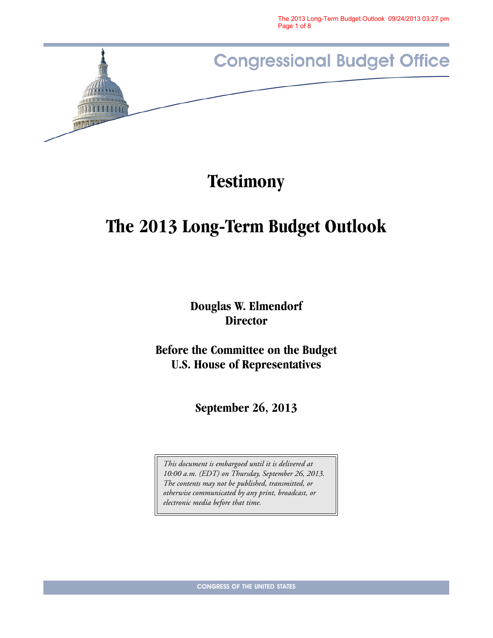The 2013 Long-Term Budget Outlook 09/24/2013 03:27 pm Page 1 of 8



**Testimony**

## **The 2013 Long-Term Budget Outlook**

**Douglas W. Elmendorf Director**

**Before the Committee on the Budget U.S. House of Representatives**

**September 26, 2013**

*This document is embargoed until it is delivered at 10:00 a.m. (EDT) on Thursday, September 26, 2013. The contents may not be published, transmitted, or otherwise communicated by any print, broadcast, or electronic media before that time.*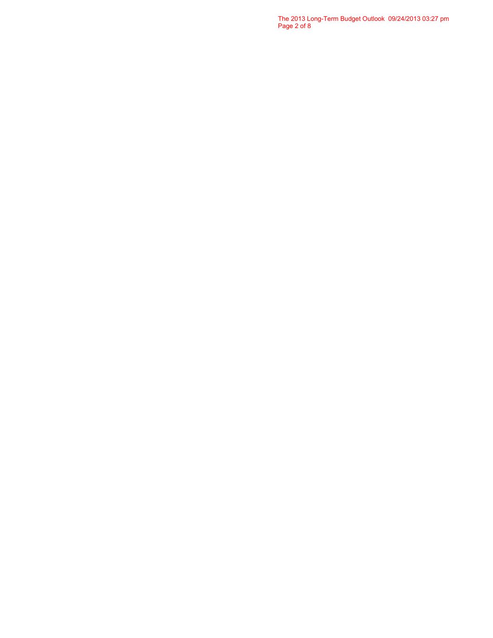The 2013 Long-Term Budget Outlook 09/24/2013 03:27 pm Page 2 of 8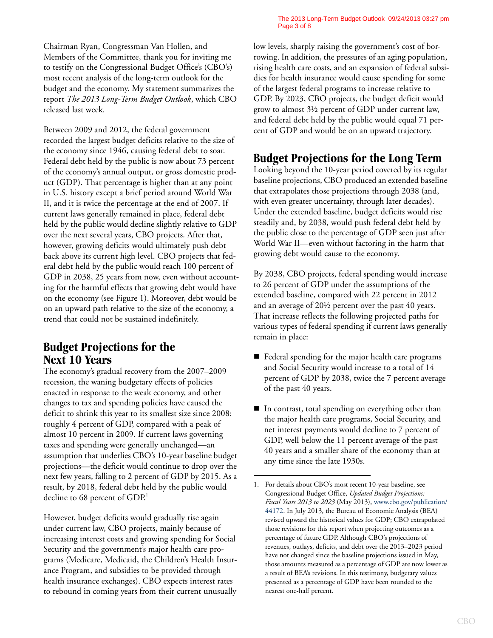Chairman Ryan, Congressman Van Hollen, and Members of the Committee, thank you for inviting me to testify on the Congressional Budget Office's (CBO's) most recent analysis of the long-term outlook for the budget and the economy. My statement summarizes the report *The 2013 Long-Term Budget Outlook*, which CBO released last week.

Between 2009 and 2012, the federal government recorded the largest budget deficits relative to the size of the economy since 1946, causing federal debt to soar. Federal debt held by the public is now about 73 percent of the economy's annual output, or gross domestic product (GDP). That percentage is higher than at any point in U.S. history except a brief period around World War II, and it is twice the percentage at the end of 2007. If current laws generally remained in place, federal debt held by the public would decline slightly relative to GDP over the next several years, CBO projects. After that, however, growing deficits would ultimately push debt back above its current high level. CBO projects that federal debt held by the public would reach 100 percent of GDP in 2038, 25 years from now, even without accounting for the harmful effects that growing debt would have on the economy (see [Figure 1\)](#page-3-0). Moreover, debt would be on an upward path relative to the size of the economy, a trend that could not be sustained indefinitely.

## **Budget Projections for the Next 10 Years**

The economy's gradual recovery from the 2007–2009 recession, the waning budgetary effects of policies enacted in response to the weak economy, and other changes to tax and spending policies have caused the deficit to shrink this year to its smallest size since 2008: roughly 4 percent of GDP, compared with a peak of almost 10 percent in 2009. If current laws governing taxes and spending were generally unchanged—an assumption that underlies CBO's 10-year baseline budget projections—the deficit would continue to drop over the next few years, falling to 2 percent of GDP by 2015. As a result, by 2018, federal debt held by the public would decline to 68 percent of GDP.<sup>1</sup>

However, budget deficits would gradually rise again under current law, CBO projects, mainly because of increasing interest costs and growing spending for Social Security and the government's major health care programs (Medicare, Medicaid, the Children's Health Insurance Program, and subsidies to be provided through health insurance exchanges). CBO expects interest rates to rebound in coming years from their current unusually The 2013 Long-Term Budget Outlook 09/24/2013 03:27 pm Page 3 of 8

low levels, sharply raising the government's cost of borrowing. In addition, the pressures of an aging population, rising health care costs, and an expansion of federal subsidies for health insurance would cause spending for some of the largest federal programs to increase relative to GDP. By 2023, CBO projects, the budget deficit would grow to almost 3½ percent of GDP under current law, and federal debt held by the public would equal 71 percent of GDP and would be on an upward trajectory.

## **Budget Projections for the Long Term**

Looking beyond the 10-year period covered by its regular baseline projections, CBO produced an extended baseline that extrapolates those projections through 2038 (and, with even greater uncertainty, through later decades). Under the extended baseline, budget deficits would rise steadily and, by 2038, would push federal debt held by the public close to the percentage of GDP seen just after World War II—even without factoring in the harm that growing debt would cause to the economy.

By 2038, CBO projects, federal spending would increase to 26 percent of GDP under the assumptions of the extended baseline, compared with 22 percent in 2012 and an average of 20½ percent over the past 40 years. That increase reflects the following projected paths for various types of federal spending if current laws generally remain in place:

- Federal spending for the major health care programs and Social Security would increase to a total of 14 percent of GDP by 2038, twice the 7 percent average of the past 40 years.
- $\blacksquare$  In contrast, total spending on everything other than the major health care programs, Social Security, and net interest payments would decline to 7 percent of GDP, well below the 11 percent average of the past 40 years and a smaller share of the economy than at any time since the late 1930s.

<sup>1.</sup> For details about CBO's most recent 10-year baseline, see Congressional Budget Office, *Updated Budget Projections: Fiscal Years 2013 to 2023* (May 2013), [www.cbo.gov/publication/](http://www.cbo.gov/publication/44172) [44172.](http://www.cbo.gov/publication/44172) In July 2013, the Bureau of Economic Analysis (BEA) revised upward the historical values for GDP; CBO extrapolated those revisions for this report when projecting outcomes as a percentage of future GDP. Although CBO's projections of revenues, outlays, deficits, and debt over the 2013–2023 period have not changed since the baseline projections issued in May, those amounts measured as a percentage of GDP are now lower as a result of BEA's revisions. In this testimony, budgetary values presented as a percentage of GDP have been rounded to the nearest one-half percent.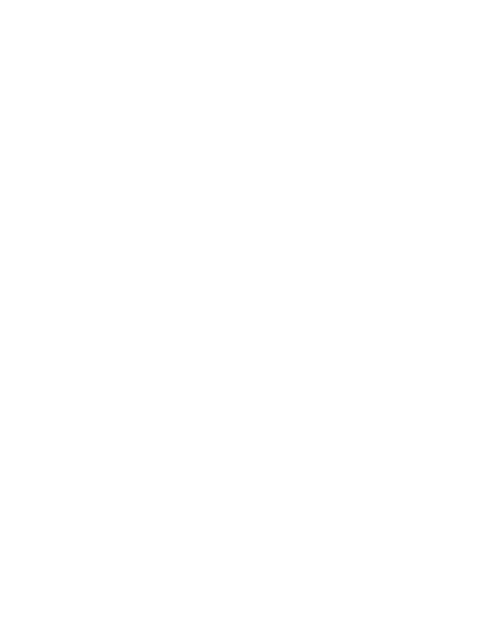ir are e eer e iee urilige ei e grei uge ie ree i e ger ur e uge e e. ee urie e **rer**  $T 2013 L-TB O$ reee ee.

ĩ.

eee 2 212 e eer gere rere e rge uge eil reie e le e e ie 14 uig eer e r. Feer e e e ui i u 3 ere e e u uu r gr ei r u. erege i iger i i.. ir ee rie eri ru r r i i ie e erege e e 2. urre geer reie i e eer e e e ui u eie ig reie er e e eer er re. er eer aria eii u uie u e e i urre ig ee. re e er e e e ui u re 1 ere i 23 25 er r ee iu u ig r e ru ee grig e u e e e ee Figure 1. reer e u e ur reje e je e e re u e uie ieiie.

Budget Projections for the Next 10 ears e e gru reer r e 22 reei e ig uger ee iie

ee i ree e e e er ge eig lie e ue e eii ri i er i e ie ie 2 rug 4 ere re i e 1 ere i 2. urre gerig e eig ere geer uge ui uerie 1er eie uge reie eii u iue r er e e e er ig 2 ere 215. reu 21 eer e e e ui u eie ere.

eer uge eii u gru rie gi uer urre re i eue ireig iere grig eig r i euri e gere r e re r ar eire eil e ire e ur e rgr uije e rie rug e iure ege. ee iere re reu i ig er r eir urre uuu

ee r riig e gere r rig. ii e reure gig ui riig e re ei eer ui ie r e iure u ue eig r e e rge eer rgr iree reie . 223 re e uge eil u gr 3 ere uer urre eer e e e ui u eu 1 er e ue ur rer.

## Budget Projections for the Long Term

ig e e 1er eri ere i regur eie rei rue eee eie ere e rei rug 23 i ee greer ueri rug er ee. er e eee eie uge eii u rie ei 23 u u eer e e e ui e e erege ee u er rree iu rig i e r grig e u ue e e.

23 re eer eig u iree 2 ere uer e ui e eee eie re i 22 ere i 212 erge 2 ere er e 4 er. iree ree e ig ree r riu e eer eig i urre geer rei i e

- Feer eig r e r e re rgr i euri u iree 14 ere 23 ie e ere erge e 4 er.
- . r eig eerig er e r e re rar i euri e iere e u eie ere e e e 11 ere erge e 4 er er re e e ie ie e e 13.
- 1. Freiu ree 1er eie ee  $\frac{1}{2}$  grei uge ie  $\frac{1}{2}$ Y2013 2023 213 ..guii 4412 u 213 e ureu ii reie ur e iri ue r ere e reii r i rer e reig ue erege uure. ug rei reeue u eii e er e 213223 eri e ge ie e eie rei iue i e u eure erege re er reu reii. i ei uger ue reee erege e ee rue e ere e ere.